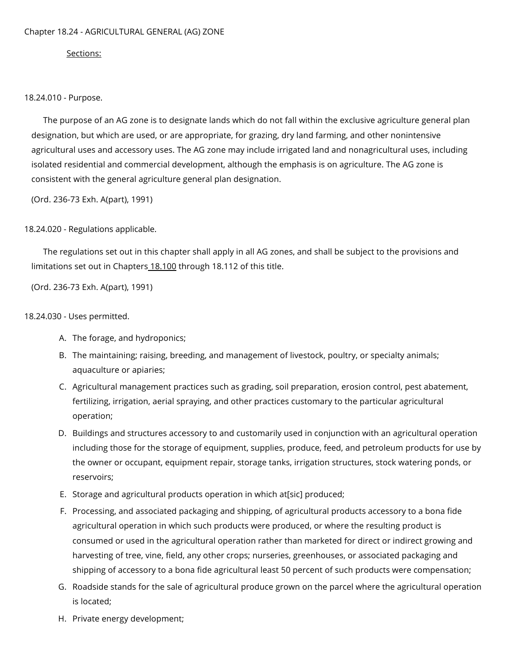## Sections:

18.24.010 - Purpose.

The purpose of an AG zone is to designate lands which do not fall within the exclusive agriculture general plan designation, but which are used, or are appropriate, for grazing, dry land farming, and other nonintensive agricultural uses and accessory uses. The AG zone may include irrigated land and nonagricultural uses, including isolated residential and commercial development, although the emphasis is on agriculture. The AG zone is consistent with the general agriculture general plan designation.

(Ord. 236-73 Exh. A(part), 1991)

18.24.020 - Regulations applicable.

The regulations set out in this chapter shall apply in all AG zones, and shall be subject to the provisions and limitations set out in Chapters [18.100](https://library.municode.com/) through 18.112 of this title.

(Ord. 236-73 Exh. A(part), 1991)

## 18.24.030 - Uses permitted.

- A. The forage, and hydroponics;
- B. The maintaining; raising, breeding, and management of livestock, poultry, or specialty animals; aquaculture or apiaries;
- C. Agricultural management practices such as grading, soil preparation, erosion control, pest abatement, fertilizing, irrigation, aerial spraying, and other practices customary to the particular agricultural operation;
- D. Buildings and structures accessory to and customarily used in conjunction with an agricultural operation including those for the storage of equipment, supplies, produce, feed, and petroleum products for use by the owner or occupant, equipment repair, storage tanks, irrigation structures, stock watering ponds, or reservoirs;
- E. Storage and agricultural products operation in which at[sic] produced;
- F. Processing, and associated packaging and shipping, of agricultural products accessory to a bona fide agricultural operation in which such products were produced, or where the resulting product is consumed or used in the agricultural operation rather than marketed for direct or indirect growing and harvesting of tree, vine, field, any other crops; nurseries, greenhouses, or associated packaging and shipping of accessory to a bona fide agricultural least 50 percent of such products were compensation;
- G. Roadside stands for the sale of agricultural produce grown on the parcel where the agricultural operation is located;
- H. Private energy development;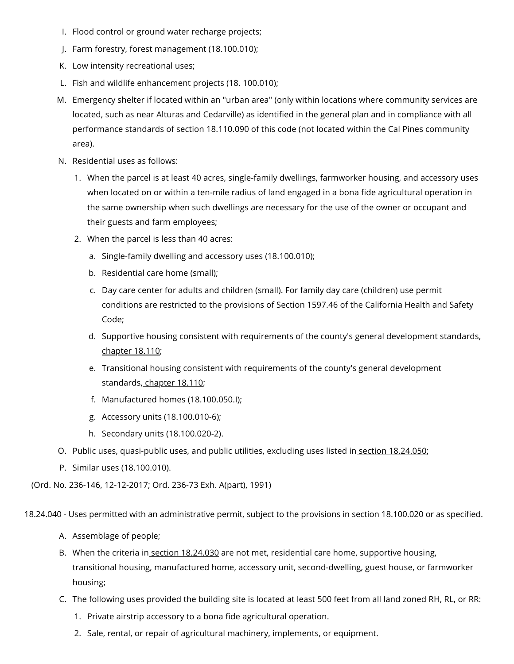- I. Flood control or ground water recharge projects;
- J. Farm forestry, forest management (18.100.010);
- K. Low intensity recreational uses;
- L. Fish and wildlife enhancement projects (18. 100.010);
- M. Emergency shelter if located within an "urban area" (only within locations where community services are located, such as near Alturas and Cedarville) as identified in the general plan and in compliance with all performance standards of section [18.110.090](https://library.municode.com/) of this code (not located within the Cal Pines community area).
- N. Residential uses as follows:
	- 1. When the parcel is at least 40 acres, single-family dwellings, farmworker housing, and accessory uses when located on or within a ten-mile radius of land engaged in a bona fide agricultural operation in the same ownership when such dwellings are necessary for the use of the owner or occupant and their guests and farm employees;
	- 2. When the parcel is less than 40 acres:
		- a. Single-family dwelling and accessory uses (18.100.010);
		- b. Residential care home (small);
		- c. Day care center for adults and children (small). For family day care (children) use permit conditions are restricted to the provisions of Section 1597.46 of the California Health and Safety Code;
		- d. Supportive housing consistent with requirements of the county's general development standards, [chapter](https://library.municode.com/) 18.110;
		- e. Transitional housing consistent with requirements of the county's general development standards, [chapter](https://library.municode.com/) 18.110;
		- f. Manufactured homes (18.100.050.I);
		- g. Accessory units (18.100.010-6);
		- h. Secondary units (18.100.020-2).
- O. Public uses, quasi-public uses, and public utilities, excluding uses listed in<u> section [18.24.050](https://library.municode.com/)</u>;
- P. Similar uses (18.100.010).

(Ord. No. 236-146, 12-12-2017; Ord. 236-73 Exh. A(part), 1991)

18.24.040 - Uses permitted with an administrative permit, subject to the provisions in section 18.100.020 or as specified.

- A. Assemblage of people;
- B. When the criteria in section [18.24.030](https://library.municode.com/) are not met, residential care home, supportive housing, transitional housing, manufactured home, accessory unit, second-dwelling, guest house, or farmworker housing;
- C. The following uses provided the building site is located at least 500 feet from all land zoned RH, RL, or RR:
	- 1. Private airstrip accessory to a bona fide agricultural operation.
	- 2. Sale, rental, or repair of agricultural machinery, implements, or equipment.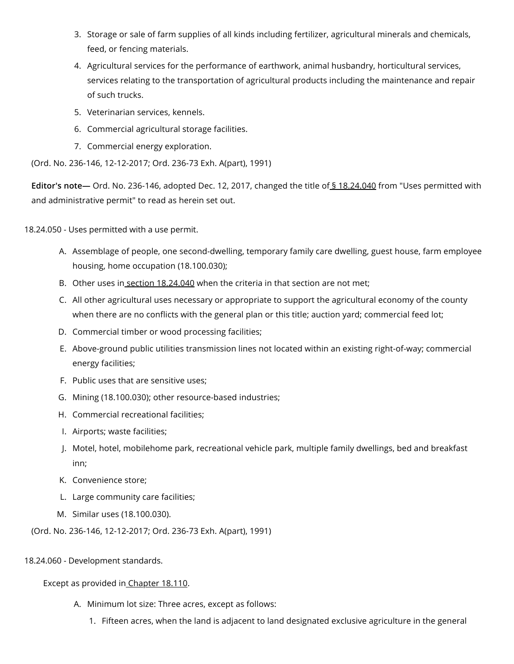- 3. Storage or sale of farm supplies of all kinds including fertilizer, agricultural minerals and chemicals, feed, or fencing materials.
- 4. Agricultural services for the performance of earthwork, animal husbandry, horticultural services, services relating to the transportation of agricultural products including the maintenance and repair of such trucks.
- 5. Veterinarian services, kennels.
- 6. Commercial agricultural storage facilities.
- 7. Commercial energy exploration.

(Ord. No. 236-146, 12-12-2017; Ord. 236-73 Exh. A(part), 1991)

**Editor's note—** Ord. No. 236-146, adopted Dec. 12, 2017, changed the title of § [18.24.040](https://library.municode.com/) from "Uses permitted with and administrative permit" to read as herein set out.

18.24.050 - Uses permitted with a use permit.

- A. Assemblage of people, one second-dwelling, temporary family care dwelling, guest house, farm employee housing, home occupation (18.100.030);
- B. Other uses in section [18.24.040](https://library.municode.com/) when the criteria in that section are not met;
- C. All other agricultural uses necessary or appropriate to support the agricultural economy of the county when there are no conflicts with the general plan or this title; auction yard; commercial feed lot;
- D. Commercial timber or wood processing facilities;
- E. Above-ground public utilities transmission lines not located within an existing right-of-way; commercial energy facilities;
- F. Public uses that are sensitive uses;
- G. Mining (18.100.030); other resource-based industries;
- H. Commercial recreational facilities;
- I. Airports; waste facilities;
- J. Motel, hotel, mobilehome park, recreational vehicle park, multiple family dwellings, bed and breakfast inn;
- K. Convenience store;
- L. Large community care facilities;
- M. Similar uses (18.100.030).

(Ord. No. 236-146, 12-12-2017; Ord. 236-73 Exh. A(part), 1991)

18.24.060 - Development standards.

## Except as provided in [Chapter](https://library.municode.com/) 18.110.

- A. Minimum lot size: Three acres, except as follows:
	- 1. Fifteen acres, when the land is adjacent to land designated exclusive agriculture in the general